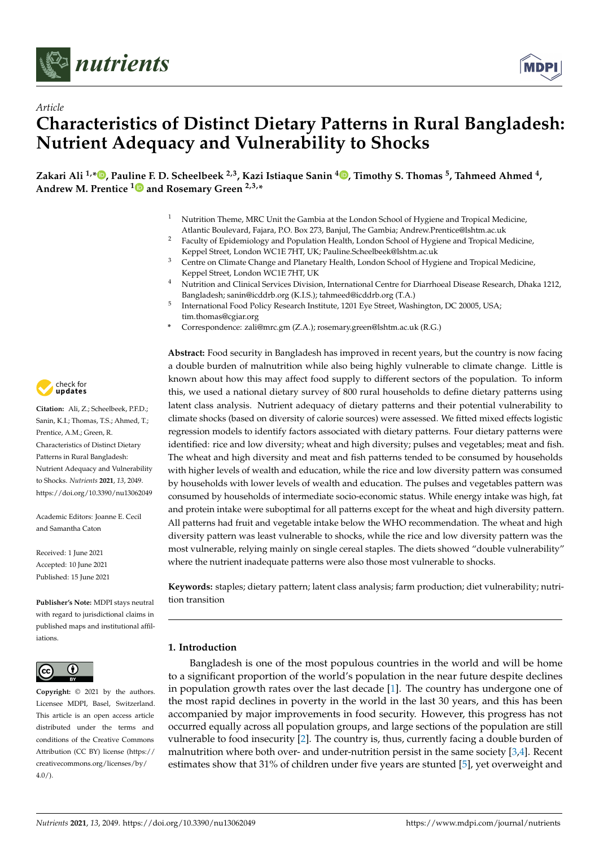

*Article*



# **Characteristics of Distinct Dietary Patterns in Rural Bangladesh: Nutrient Adequacy and Vulnerability to Shocks**

**Zakari Ali 1,[\\*](https://orcid.org/0000-0002-8129-2230) , Pauline F. D. Scheelbeek 2,3, Kazi Istiaque Sanin [4](https://orcid.org/0000-0002-4954-0353) , Timothy S. Thomas <sup>5</sup> , Tahmeed Ahmed <sup>4</sup> , Andrew M. Prentice [1](https://orcid.org/0000-0001-5389-451X) and Rosemary Green 2,3,\***

- <sup>1</sup> Nutrition Theme, MRC Unit the Gambia at the London School of Hygiene and Tropical Medicine, Atlantic Boulevard, Fajara, P.O. Box 273, Banjul, The Gambia; Andrew.Prentice@lshtm.ac.uk
- <sup>2</sup> Faculty of Epidemiology and Population Health, London School of Hygiene and Tropical Medicine, Keppel Street, London WC1E 7HT, UK; Pauline.Scheelbeek@lshtm.ac.uk
- <sup>3</sup> Centre on Climate Change and Planetary Health, London School of Hygiene and Tropical Medicine, Keppel Street, London WC1E 7HT, UK
- <sup>4</sup> Nutrition and Clinical Services Division, International Centre for Diarrhoeal Disease Research, Dhaka 1212, Bangladesh; sanin@icddrb.org (K.I.S.); tahmeed@icddrb.org (T.A.)
- 5 International Food Policy Research Institute, 1201 Eye Street, Washington, DC 20005, USA; tim.thomas@cgiar.org
- **\*** Correspondence: zali@mrc.gm (Z.A.); rosemary.green@lshtm.ac.uk (R.G.)

**Abstract:** Food security in Bangladesh has improved in recent years, but the country is now facing a double burden of malnutrition while also being highly vulnerable to climate change. Little is known about how this may affect food supply to different sectors of the population. To inform this, we used a national dietary survey of 800 rural households to define dietary patterns using latent class analysis. Nutrient adequacy of dietary patterns and their potential vulnerability to climate shocks (based on diversity of calorie sources) were assessed. We fitted mixed effects logistic regression models to identify factors associated with dietary patterns. Four dietary patterns were identified: rice and low diversity; wheat and high diversity; pulses and vegetables; meat and fish. The wheat and high diversity and meat and fish patterns tended to be consumed by households with higher levels of wealth and education, while the rice and low diversity pattern was consumed by households with lower levels of wealth and education. The pulses and vegetables pattern was consumed by households of intermediate socio-economic status. While energy intake was high, fat and protein intake were suboptimal for all patterns except for the wheat and high diversity pattern. All patterns had fruit and vegetable intake below the WHO recommendation. The wheat and high diversity pattern was least vulnerable to shocks, while the rice and low diversity pattern was the most vulnerable, relying mainly on single cereal staples. The diets showed "double vulnerability" where the nutrient inadequate patterns were also those most vulnerable to shocks.

**Keywords:** staples; dietary pattern; latent class analysis; farm production; diet vulnerability; nutrition transition

# **1. Introduction**

Bangladesh is one of the most populous countries in the world and will be home to a significant proportion of the world's population in the near future despite declines in population growth rates over the last decade [\[1\]](#page-11-0). The country has undergone one of the most rapid declines in poverty in the world in the last 30 years, and this has been accompanied by major improvements in food security. However, this progress has not occurred equally across all population groups, and large sections of the population are still vulnerable to food insecurity [\[2\]](#page-11-1). The country is, thus, currently facing a double burden of malnutrition where both over- and under-nutrition persist in the same society [\[3](#page-11-2)[,4\]](#page-11-3). Recent estimates show that 31% of children under five years are stunted [\[5\]](#page-11-4), yet overweight and



**Citation:** Ali, Z.; Scheelbeek, P.F.D.; Sanin, K.I.; Thomas, T.S.; Ahmed, T.; Prentice, A.M.; Green, R. Characteristics of Distinct Dietary Patterns in Rural Bangladesh: Nutrient Adequacy and Vulnerability to Shocks. *Nutrients* **2021**, *13*, 2049. <https://doi.org/10.3390/nu13062049>

Academic Editors: Joanne E. Cecil and Samantha Caton

Received: 1 June 2021 Accepted: 10 June 2021 Published: 15 June 2021

**Publisher's Note:** MDPI stays neutral with regard to jurisdictional claims in published maps and institutional affiliations.



**Copyright:** © 2021 by the authors. Licensee MDPI, Basel, Switzerland. This article is an open access article distributed under the terms and conditions of the Creative Commons Attribution (CC BY) license (https:/[/](https://creativecommons.org/licenses/by/4.0/) [creativecommons.org/licenses/by/](https://creativecommons.org/licenses/by/4.0/)  $4.0/$ ).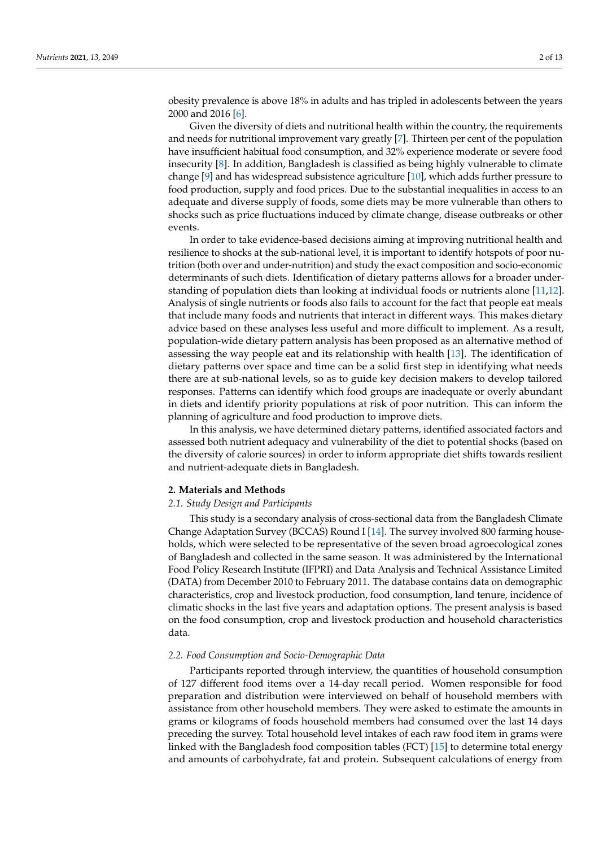obesity prevalence is above 18% in adults and has tripled in adolescents between the years 2000 and 2016 [\[6\]](#page-11-5).

Given the diversity of diets and nutritional health within the country, the requirements and needs for nutritional improvement vary greatly [\[7\]](#page-11-6). Thirteen per cent of the population have insufficient habitual food consumption, and 32% experience moderate or severe food insecurity [\[8\]](#page-11-7). In addition, Bangladesh is classified as being highly vulnerable to climate change [\[9\]](#page-11-8) and has widespread subsistence agriculture [\[10\]](#page-11-9), which adds further pressure to food production, supply and food prices. Due to the substantial inequalities in access to an adequate and diverse supply of foods, some diets may be more vulnerable than others to shocks such as price fluctuations induced by climate change, disease outbreaks or other events.

In order to take evidence-based decisions aiming at improving nutritional health and resilience to shocks at the sub-national level, it is important to identify hotspots of poor nutrition (both over and under-nutrition) and study the exact composition and socio-economic determinants of such diets. Identification of dietary patterns allows for a broader understanding of population diets than looking at individual foods or nutrients alone [\[11,](#page-11-10)[12\]](#page-11-11). Analysis of single nutrients or foods also fails to account for the fact that people eat meals that include many foods and nutrients that interact in different ways. This makes dietary advice based on these analyses less useful and more difficult to implement. As a result, population-wide dietary pattern analysis has been proposed as an alternative method of assessing the way people eat and its relationship with health [\[13\]](#page-11-12). The identification of dietary patterns over space and time can be a solid first step in identifying what needs there are at sub-national levels, so as to guide key decision makers to develop tailored responses. Patterns can identify which food groups are inadequate or overly abundant in diets and identify priority populations at risk of poor nutrition. This can inform the planning of agriculture and food production to improve diets.

In this analysis, we have determined dietary patterns, identified associated factors and assessed both nutrient adequacy and vulnerability of the diet to potential shocks (based on the diversity of calorie sources) in order to inform appropriate diet shifts towards resilient and nutrient-adequate diets in Bangladesh.

## **2. Materials and Methods**

## *2.1. Study Design and Participants*

This study is a secondary analysis of cross-sectional data from the Bangladesh Climate Change Adaptation Survey (BCCAS) Round I [\[14\]](#page-11-13). The survey involved 800 farming households, which were selected to be representative of the seven broad agroecological zones of Bangladesh and collected in the same season. It was administered by the International Food Policy Research Institute (IFPRI) and Data Analysis and Technical Assistance Limited (DATA) from December 2010 to February 2011. The database contains data on demographic characteristics, crop and livestock production, food consumption, land tenure, incidence of climatic shocks in the last five years and adaptation options. The present analysis is based on the food consumption, crop and livestock production and household characteristics data.

## *2.2. Food Consumption and Socio-Demographic Data*

Participants reported through interview, the quantities of household consumption of 127 different food items over a 14-day recall period. Women responsible for food preparation and distribution were interviewed on behalf of household members with assistance from other household members. They were asked to estimate the amounts in grams or kilograms of foods household members had consumed over the last 14 days preceding the survey. Total household level intakes of each raw food item in grams were linked with the Bangladesh food composition tables (FCT) [\[15\]](#page-11-14) to determine total energy and amounts of carbohydrate, fat and protein. Subsequent calculations of energy from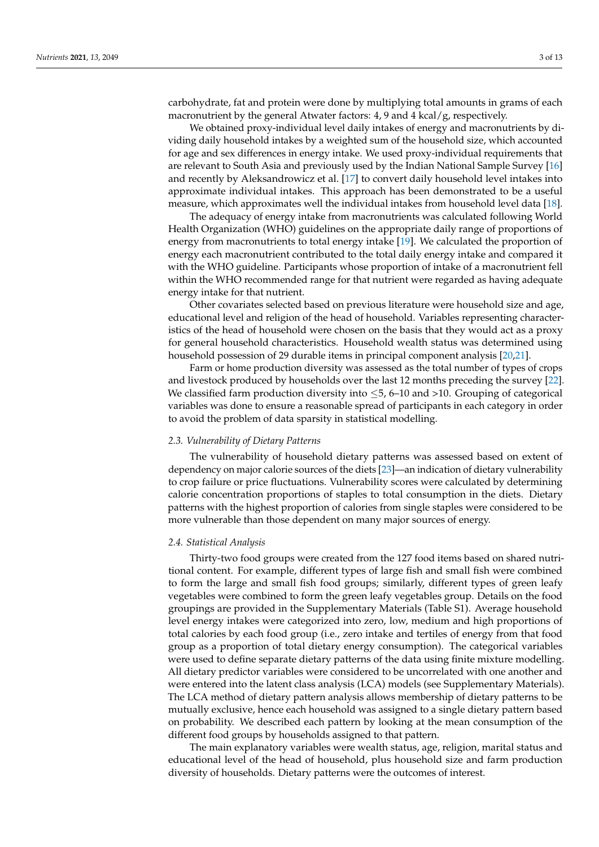carbohydrate, fat and protein were done by multiplying total amounts in grams of each macronutrient by the general Atwater factors: 4, 9 and 4 kcal/g, respectively.

We obtained proxy-individual level daily intakes of energy and macronutrients by dividing daily household intakes by a weighted sum of the household size, which accounted for age and sex differences in energy intake. We used proxy-individual requirements that are relevant to South Asia and previously used by the Indian National Sample Survey [\[16\]](#page-11-15) and recently by Aleksandrowicz et al. [\[17\]](#page-11-16) to convert daily household level intakes into approximate individual intakes. This approach has been demonstrated to be a useful measure, which approximates well the individual intakes from household level data [\[18\]](#page-11-17).

The adequacy of energy intake from macronutrients was calculated following World Health Organization (WHO) guidelines on the appropriate daily range of proportions of energy from macronutrients to total energy intake [\[19\]](#page-12-0). We calculated the proportion of energy each macronutrient contributed to the total daily energy intake and compared it with the WHO guideline. Participants whose proportion of intake of a macronutrient fell within the WHO recommended range for that nutrient were regarded as having adequate energy intake for that nutrient.

Other covariates selected based on previous literature were household size and age, educational level and religion of the head of household. Variables representing characteristics of the head of household were chosen on the basis that they would act as a proxy for general household characteristics. Household wealth status was determined using household possession of 29 durable items in principal component analysis [\[20](#page-12-1)[,21\]](#page-12-2).

Farm or home production diversity was assessed as the total number of types of crops and livestock produced by households over the last 12 months preceding the survey [\[22\]](#page-12-3). We classified farm production diversity into  $\leq$ 5, 6–10 and >10. Grouping of categorical variables was done to ensure a reasonable spread of participants in each category in order to avoid the problem of data sparsity in statistical modelling.

## *2.3. Vulnerability of Dietary Patterns*

The vulnerability of household dietary patterns was assessed based on extent of dependency on major calorie sources of the diets [\[23\]](#page-12-4)—an indication of dietary vulnerability to crop failure or price fluctuations. Vulnerability scores were calculated by determining calorie concentration proportions of staples to total consumption in the diets. Dietary patterns with the highest proportion of calories from single staples were considered to be more vulnerable than those dependent on many major sources of energy.

## *2.4. Statistical Analysis*

Thirty-two food groups were created from the 127 food items based on shared nutritional content. For example, different types of large fish and small fish were combined to form the large and small fish food groups; similarly, different types of green leafy vegetables were combined to form the green leafy vegetables group. Details on the food groupings are provided in the Supplementary Materials (Table S1). Average household level energy intakes were categorized into zero, low, medium and high proportions of total calories by each food group (i.e., zero intake and tertiles of energy from that food group as a proportion of total dietary energy consumption). The categorical variables were used to define separate dietary patterns of the data using finite mixture modelling. All dietary predictor variables were considered to be uncorrelated with one another and were entered into the latent class analysis (LCA) models (see Supplementary Materials). The LCA method of dietary pattern analysis allows membership of dietary patterns to be mutually exclusive, hence each household was assigned to a single dietary pattern based on probability. We described each pattern by looking at the mean consumption of the different food groups by households assigned to that pattern.

The main explanatory variables were wealth status, age, religion, marital status and educational level of the head of household, plus household size and farm production diversity of households. Dietary patterns were the outcomes of interest.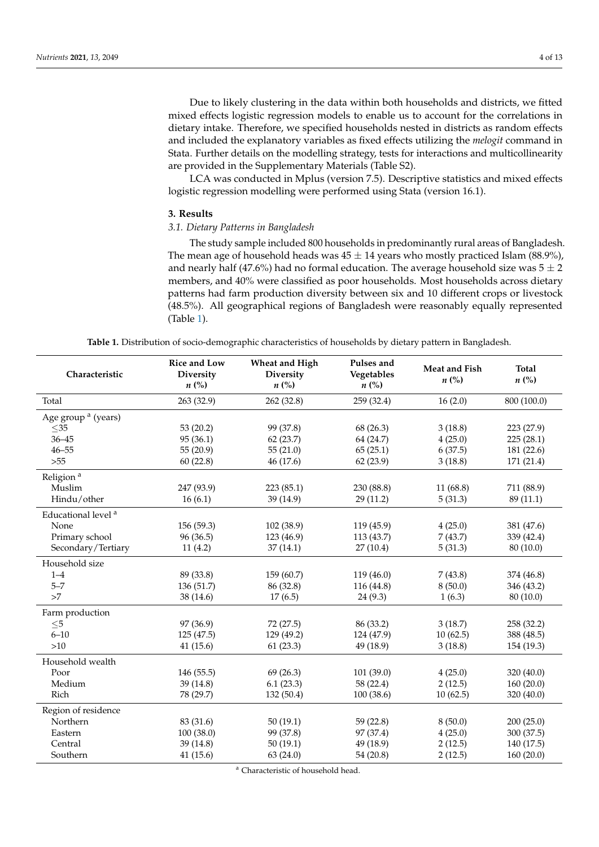Due to likely clustering in the data within both households and districts, we fitted mixed effects logistic regression models to enable us to account for the correlations in dietary intake. Therefore, we specified households nested in districts as random effects and included the explanatory variables as fixed effects utilizing the *melogit* command in Stata. Further details on the modelling strategy, tests for interactions and multicollinearity are provided in the Supplementary Materials (Table S2).

LCA was conducted in Mplus (version 7.5). Descriptive statistics and mixed effects logistic regression modelling were performed using Stata (version 16.1).

## **3. Results**

## *3.1. Dietary Patterns in Bangladesh*

The study sample included 800 households in predominantly rural areas of Bangladesh. The mean age of household heads was  $45 \pm 14$  years who mostly practiced Islam (88.9%), and nearly half (47.6%) had no formal education. The average household size was  $5 \pm 2$ members, and 40% were classified as poor households. Most households across dietary patterns had farm production diversity between six and 10 different crops or livestock (48.5%). All geographical regions of Bangladesh were reasonably equally represented (Table [1\)](#page-3-0).

<span id="page-3-0"></span>

| Characteristic                 | Rice and Low<br>Diversity<br>$n\ (\%)$ | Wheat and High<br>Diversity<br>$n\left(\%\right)$ | Pulses and<br>Vegetables<br>$n\left(\%\right)$ | <b>Meat and Fish</b><br>$n\left(\%\right)$ | <b>Total</b><br>$n\ (\%)$ |
|--------------------------------|----------------------------------------|---------------------------------------------------|------------------------------------------------|--------------------------------------------|---------------------------|
| Total                          | 263 (32.9)                             | 262 (32.8)                                        | 259 (32.4)                                     | 16(2.0)                                    | 800 (100.0)               |
| Age group <sup>a</sup> (years) |                                        |                                                   |                                                |                                            |                           |
| $\leq$ 35                      | 53(20.2)                               | 99 (37.8)                                         | 68 (26.3)                                      | 3(18.8)                                    | 223 (27.9)                |
| $36 - 45$                      | 95 (36.1)                              | 62(23.7)                                          | 64 (24.7)                                      | 4(25.0)                                    | 225(28.1)                 |
| $46 - 55$                      | 55(20.9)                               | 55(21.0)                                          | 65(25.1)                                       | 6(37.5)                                    | 181 (22.6)                |
| $>55$                          | 60(22.8)                               | 46 (17.6)                                         | 62(23.9)                                       | 3(18.8)                                    | 171 (21.4)                |
| Religion <sup>a</sup>          |                                        |                                                   |                                                |                                            |                           |
| Muslim                         | 247 (93.9)                             | 223 (85.1)                                        | 230 (88.8)                                     | 11 (68.8)                                  | 711 (88.9)                |
| Hindu/other                    | 16(6.1)                                | 39 (14.9)                                         | 29 (11.2)                                      | 5(31.3)                                    | 89 (11.1)                 |
| Educational level <sup>a</sup> |                                        |                                                   |                                                |                                            |                           |
| None                           | 156 (59.3)                             | 102 (38.9)                                        | 119 (45.9)                                     | 4(25.0)                                    | 381 (47.6)                |
| Primary school                 | 96 (36.5)                              | 123 (46.9)                                        | 113 (43.7)                                     | 7(43.7)                                    | 339 (42.4)                |
| Secondary/Tertiary             | 11(4.2)                                | 37(14.1)                                          | 27(10.4)                                       | 5(31.3)                                    | 80 (10.0)                 |
| Household size                 |                                        |                                                   |                                                |                                            |                           |
| $1 - 4$                        | 89 (33.8)                              | 159(60.7)                                         | 119 (46.0)                                     | 7(43.8)                                    | 374 (46.8)                |
| $5 - 7$                        | 136 (51.7)                             | 86 (32.8)                                         | 116 (44.8)                                     | 8(50.0)                                    | 346 (43.2)                |
| >7                             | 38 (14.6)                              | 17(6.5)                                           | 24(9.3)                                        | 1(6.3)                                     | 80 (10.0)                 |
| Farm production                |                                        |                                                   |                                                |                                            |                           |
| $\leq 5$                       | 97 (36.9)                              | 72 (27.5)                                         | 86 (33.2)                                      | 3(18.7)                                    | 258 (32.2)                |
| $6 - 10$                       | 125(47.5)                              | 129 (49.2)                                        | 124 (47.9)                                     | 10(62.5)                                   | 388 (48.5)                |
| $>10$                          | 41(15.6)                               | 61(23.3)                                          | 49 (18.9)                                      | 3(18.8)                                    | 154 (19.3)                |
| Household wealth               |                                        |                                                   |                                                |                                            |                           |
| Poor                           | 146 (55.5)                             | 69(26.3)                                          | 101 (39.0)                                     | 4(25.0)                                    | 320 (40.0)                |
| Medium                         | 39 (14.8)                              | 6.1(23.3)                                         | 58 (22.4)                                      | 2(12.5)                                    | 160(20.0)                 |
| Rich                           | 78 (29.7)                              | 132(50.4)                                         | 100(38.6)                                      | 10(62.5)                                   | 320 (40.0)                |
| Region of residence            |                                        |                                                   |                                                |                                            |                           |
| Northern                       | 83 (31.6)                              | 50(19.1)                                          | 59 (22.8)                                      | 8(50.0)                                    | 200(25.0)                 |
| Eastern                        | 100(38.0)                              | 99 (37.8)                                         | 97 (37.4)                                      | 4(25.0)                                    | 300 (37.5)                |
| Central                        | 39(14.8)                               | 50(19.1)                                          | 49 (18.9)                                      | 2(12.5)                                    | 140 (17.5)                |
| Southern                       | 41(15.6)                               | 63(24.0)                                          | 54 (20.8)                                      | 2(12.5)                                    | 160 (20.0)                |

<sup>a</sup> Characteristic of household head.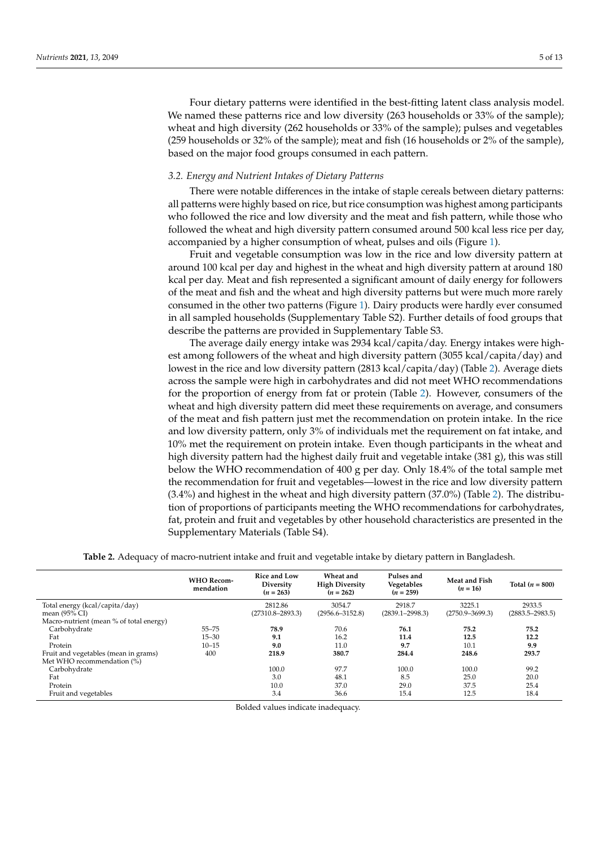Four dietary patterns were identified in the best-fitting latent class analysis model. We named these patterns rice and low diversity (263 households or 33% of the sample); wheat and high diversity (262 households or 33% of the sample); pulses and vegetables (259 households or 32% of the sample); meat and fish (16 households or 2% of the sample), based on the major food groups consumed in each pattern.

## *3.2. Energy and Nutrient Intakes of Dietary Patterns*

There were notable differences in the intake of staple cereals between dietary patterns: all patterns were highly based on rice, but rice consumption was highest among participants who followed the rice and low diversity and the meat and fish pattern, while those who followed the wheat and high diversity pattern consumed around 500 kcal less rice per day, accompanied by a higher consumption of wheat, pulses and oils (Figure [1\)](#page-5-0).

Fruit and vegetable consumption was low in the rice and low diversity pattern at around 100 kcal per day and highest in the wheat and high diversity pattern at around 180 kcal per day. Meat and fish represented a significant amount of daily energy for followers of the meat and fish and the wheat and high diversity patterns but were much more rarely consumed in the other two patterns (Figure [1\)](#page-5-0). Dairy products were hardly ever consumed in all sampled households (Supplementary Table S2). Further details of food groups that describe the patterns are provided in Supplementary Table S3.

The average daily energy intake was 2934 kcal/capita/day. Energy intakes were highest among followers of the wheat and high diversity pattern (3055 kcal/capita/day) and lowest in the rice and low diversity pattern (2813 kcal/capita/day) (Table [2\)](#page-4-0). Average diets across the sample were high in carbohydrates and did not meet WHO recommendations for the proportion of energy from fat or protein (Table [2\)](#page-4-0). However, consumers of the wheat and high diversity pattern did meet these requirements on average, and consumers of the meat and fish pattern just met the recommendation on protein intake. In the rice and low diversity pattern, only 3% of individuals met the requirement on fat intake, and 10% met the requirement on protein intake. Even though participants in the wheat and high diversity pattern had the highest daily fruit and vegetable intake (381 g), this was still below the WHO recommendation of 400 g per day. Only 18.4% of the total sample met the recommendation for fruit and vegetables—lowest in the rice and low diversity pattern (3.4%) and highest in the wheat and high diversity pattern (37.0%) (Table [2\)](#page-4-0). The distribution of proportions of participants meeting the WHO recommendations for carbohydrates, fat, protein and fruit and vegetables by other household characteristics are presented in the Supplementary Materials (Table S4).

**Table 2.** Adequacy of macro-nutrient intake and fruit and vegetable intake by dietary pattern in Bangladesh.

<span id="page-4-0"></span>

|                                         | <b>WHO Recom-</b><br>mendation | <b>Rice and Low</b><br>Diversity<br>$(n = 263)$ | Wheat and<br><b>High Diversity</b><br>$(n = 262)$ | Pulses and<br>Vegetables<br>$(n = 259)$ | Meat and Fish<br>$(n = 16)$ | Total $(n = 800)$   |
|-----------------------------------------|--------------------------------|-------------------------------------------------|---------------------------------------------------|-----------------------------------------|-----------------------------|---------------------|
| Total energy (kcal/capita/day)          |                                | 2812.86                                         | 3054.7                                            | 2918.7                                  | 3225.1                      | 2933.5              |
| mean (95% CI)                           |                                | (27310.8–2893.3)                                | $(2956.6 - 3152.8)$                               | $(2839.1 - 2998.3)$                     | $(2750.9 - 3699.3)$         | $(2883.5 - 2983.5)$ |
| Macro-nutrient (mean % of total energy) |                                |                                                 |                                                   |                                         |                             |                     |
| Carbohydrate                            | $55 - 75$                      | 78.9                                            | 70.6                                              | 76.1                                    | 75.2                        | 75.2                |
| Fat                                     | $15 - 30$                      | 9.1                                             | 16.2                                              | 11.4                                    | 12.5                        | 12.2                |
| Protein                                 | $10 - 15$                      | 9.0                                             | 11.0                                              | 9.7                                     | 10.1                        | 9.9                 |
| Fruit and vegetables (mean in grams)    | 400                            | 218.9                                           | 380.7                                             | 284.4                                   | 248.6                       | 293.7               |
| Met WHO recommendation (%)              |                                |                                                 |                                                   |                                         |                             |                     |
| Carbohydrate                            |                                | 100.0                                           | 97.7                                              | 100.0                                   | 100.0                       | 99.2                |
| Fat                                     |                                | 3.0                                             | 48.1                                              | 8.5                                     | 25.0                        | 20.0                |
| Protein                                 |                                | 10.0                                            | 37.0                                              | 29.0                                    | 37.5                        | 25.4                |
| Fruit and vegetables                    |                                | 3.4                                             | 36.6                                              | 15.4                                    | 12.5                        | 18.4                |

Bolded values indicate inadequacy.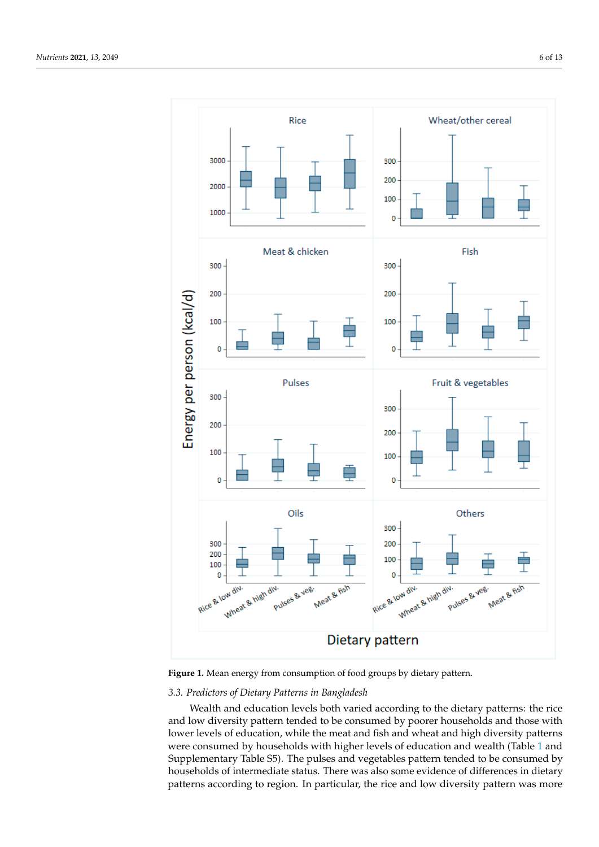<span id="page-5-0"></span>

*Nutrients* **2021**, *13*, x FOR PEER REVIEW 6 of 16

**Figure 1.** Mean energy from consumption of food groups by dietary pattern. **Figure 1.** Mean energy from consumption of food groups by dietary pattern.

## *3.3. Predictors of Dietary Patterns in Bangladesh*

lower levels of education, while the meat and fish and wheat and high diversity patterns Wealth and education levels both varied according to the dietary patterns: the rice and low diversity pattern tended to be consumed by poorer households and those with were consumed by households with higher levels of education and wealth (Table [1](#page-3-0) and Supplementary Table S5). The pulses and vegetables pattern tended to be consumed by households of intermediate status. There was also some evidence of differences in dietary patterns according to region. In particular, the rice and low diversity pattern was more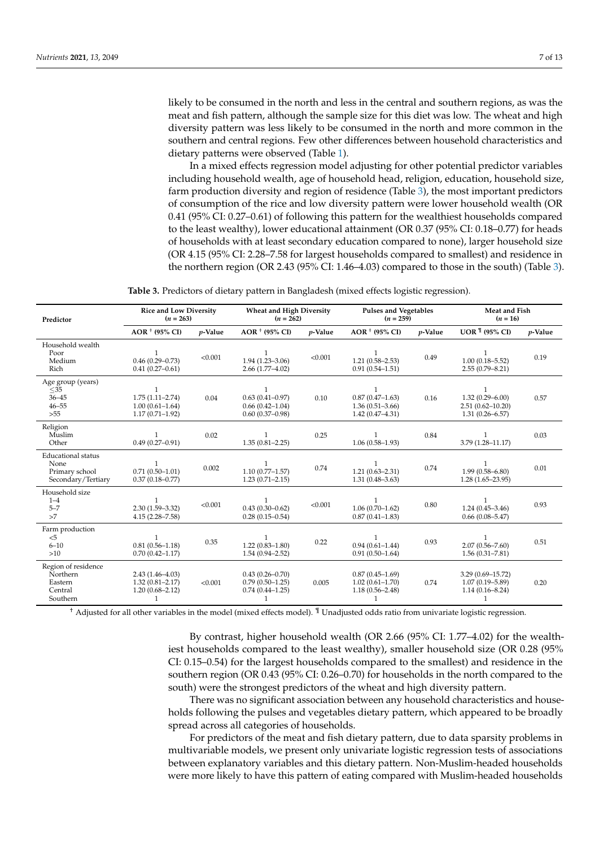likely to be consumed in the north and less in the central and southern regions, as was the meat and fish pattern, although the sample size for this diet was low. The wheat and high diversity pattern was less likely to be consumed in the north and more common in the southern and central regions. Few other differences between household characteristics and dietary patterns were observed (Table [1\)](#page-3-0).

In a mixed effects regression model adjusting for other potential predictor variables including household wealth, age of household head, religion, education, household size, farm production diversity and region of residence (Table [3\)](#page-6-0), the most important predictors of consumption of the rice and low diversity pattern were lower household wealth (OR 0.41 (95% CI: 0.27–0.61) of following this pattern for the wealthiest households compared to the least wealthy), lower educational attainment (OR 0.37 (95% CI: 0.18–0.77) for heads of households with at least secondary education compared to none), larger household size (OR 4.15 (95% CI: 2.28–7.58 for largest households compared to smallest) and residence in the northern region (OR 2.43 (95% CI: 1.46–4.03) compared to those in the south) (Table [3\)](#page-6-0).

| Table 3. Predictors of dietary pattern in Bangladesh (mixed effects logistic regression). |  |  |
|-------------------------------------------------------------------------------------------|--|--|
|-------------------------------------------------------------------------------------------|--|--|

<span id="page-6-0"></span>

| Predictor                                                                 | <b>Rice and Low Diversity</b><br>$(n = 263)$                                      |            | <b>Wheat and High Diversity</b><br>$(n = 262)$                       |            | <b>Pulses and Vegetables</b><br>$(n = 259)$                                       |            | Meat and Fish<br>$(n = 16)$                                              |         |
|---------------------------------------------------------------------------|-----------------------------------------------------------------------------------|------------|----------------------------------------------------------------------|------------|-----------------------------------------------------------------------------------|------------|--------------------------------------------------------------------------|---------|
|                                                                           | AOR + (95% CI)                                                                    | $p$ -Value | AOR + (95% CI)                                                       | $p$ -Value | AOR + (95% CI)                                                                    | $p$ -Value | UOR $\frac{q}{1}$ (95% CI)                                               | p-Value |
| Household wealth<br>Poor<br>Medium<br>Rich                                | $0.46(0.29 - 0.73)$<br>$0.41(0.27-0.61)$                                          | < 0.001    | $1.94(1.23 - 3.06)$<br>$2.66(1.77-4.02)$                             | < 0.001    | $1.21(0.58 - 2.53)$<br>$0.91(0.54 - 1.51)$                                        | 0.49       | $1.00(0.18 - 5.52)$<br>$2.55(0.79 - 8.21)$                               | 0.19    |
| Age group (years)<br>$<$ 35<br>$36 - 45$<br>$46 - 55$<br>>55              | $\mathbf{1}$<br>$1.75(1.11 - 2.74)$<br>$1.00(0.61 - 1.64)$<br>$1.17(0.71 - 1.92)$ | 0.04       | 1<br>$0.63(0.41 - 0.97)$<br>$0.66(0.42 - 1.04)$<br>$0.60(0.37-0.98)$ | 0.10       | $\mathbf{1}$<br>$0.87(0.47 - 1.63)$<br>$1.36(0.51 - 3.66)$<br>$1.42(0.47 - 4.31)$ | 0.16       | -1<br>$1.32(0.29 - 6.00)$<br>$2.51(0.62 - 10.20)$<br>$1.31(0.26 - 6.57)$ | 0.57    |
| Religion<br>Muslim<br>Other                                               | $0.49(0.27-0.91)$                                                                 | 0.02       | 1<br>$1.35(0.81 - 2.25)$                                             | 0.25       | 1<br>$1.06(0.58-1.93)$                                                            | 0.84       | $3.79(1.28 - 11.17)$                                                     | 0.03    |
| <b>Educational</b> status<br>None<br>Primary school<br>Secondary/Tertiary | 1<br>$0.71(0.50 - 1.01)$<br>$0.37(0.18 - 0.77)$                                   | 0.002      | $1.10(0.77 - 1.57)$<br>$1.23(0.71 - 2.15)$                           | 0.74       | 1<br>$1.21(0.63 - 2.31)$<br>$1.31(0.48 - 3.63)$                                   | 0.74       | $1.99(0.58 - 6.80)$<br>$1.28(1.65-23.95)$                                | 0.01    |
| Household size<br>$1 - 4$<br>$5 - 7$<br>>7                                | $2.30(1.59 - 3.32)$<br>$4.15(2.28 - 7.58)$                                        | < 0.001    | $0.43(0.30 - 0.62)$<br>$0.28(0.15-0.54)$                             | < 0.001    | 1<br>$1.06(0.70-1.62)$<br>$0.87(0.41 - 1.83)$                                     | 0.80       | $1.24(0.45 - 3.46)$<br>$0.66(0.08 - 5.47)$                               | 0.93    |
| Farm production<br>$\leq 5$<br>$6 - 10$<br>>10                            | $\mathbf{1}$<br>$0.81(0.56 - 1.18)$<br>$0.70(0.42 - 1.17)$                        | 0.35       | 1<br>$1.22(0.83 - 1.80)$<br>$1.54(0.94 - 2.52)$                      | 0.22       | $\mathbf{1}$<br>$0.94(0.61 - 1.44)$<br>$0.91(0.50-1.64)$                          | 0.93       | $2.07(0.56 - 7.60)$<br>$1.56(0.31 - 7.81)$                               | 0.51    |
| Region of residence<br>Northern<br>Eastern<br>Central<br>Southern         | $2.43(1.46 - 4.03)$<br>$1.32(0.81 - 2.17)$<br>$1.20(0.68 - 2.12)$<br>1            | < 0.001    | $0.43(0.26 - 0.70)$<br>$0.79(0.50-1.25)$<br>$0.74(0.44 - 1.25)$<br>1 | 0.005      | $0.87(0.45 - 1.69)$<br>$1.02(0.61 - 1.70)$<br>$1.18(0.56 - 2.48)$<br>1            | 0.74       | $3.29(0.69 - 15.72)$<br>$1.07(0.19 - 5.89)$<br>$1.14(0.16 - 8.24)$       | 0.20    |

† Adjusted for all other variables in the model (mixed effects model). ¶ Unadjusted odds ratio from univariate logistic regression.

By contrast, higher household wealth (OR 2.66 (95% CI: 1.77–4.02) for the wealthiest households compared to the least wealthy), smaller household size (OR 0.28 (95% CI: 0.15–0.54) for the largest households compared to the smallest) and residence in the southern region (OR 0.43 (95% CI: 0.26–0.70) for households in the north compared to the south) were the strongest predictors of the wheat and high diversity pattern.

There was no significant association between any household characteristics and households following the pulses and vegetables dietary pattern, which appeared to be broadly spread across all categories of households.

For predictors of the meat and fish dietary pattern, due to data sparsity problems in multivariable models, we present only univariate logistic regression tests of associations between explanatory variables and this dietary pattern. Non-Muslim-headed households were more likely to have this pattern of eating compared with Muslim-headed households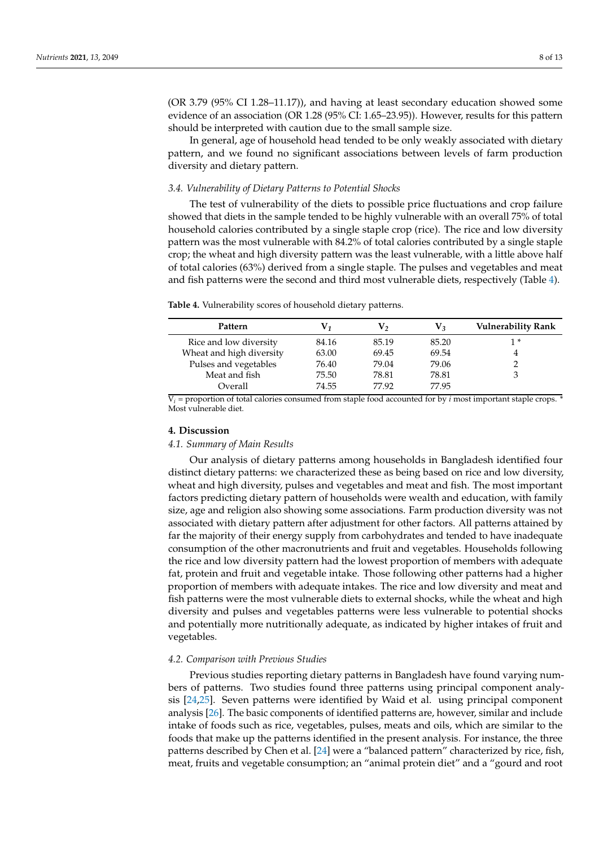(OR 3.79 (95% CI 1.28–11.17)), and having at least secondary education showed some evidence of an association (OR 1.28 (95% CI: 1.65–23.95)). However, results for this pattern should be interpreted with caution due to the small sample size.

In general, age of household head tended to be only weakly associated with dietary pattern, and we found no significant associations between levels of farm production diversity and dietary pattern.

## *3.4. Vulnerability of Dietary Patterns to Potential Shocks*

The test of vulnerability of the diets to possible price fluctuations and crop failure showed that diets in the sample tended to be highly vulnerable with an overall 75% of total household calories contributed by a single staple crop (rice). The rice and low diversity pattern was the most vulnerable with 84.2% of total calories contributed by a single staple crop; the wheat and high diversity pattern was the least vulnerable, with a little above half of total calories (63%) derived from a single staple. The pulses and vegetables and meat and fish patterns were the second and third most vulnerable diets, respectively (Table [4\)](#page-7-0).

| Pattern                  | V1    | V٥    | V3    | <b>Vulnerability Rank</b> |
|--------------------------|-------|-------|-------|---------------------------|
| Rice and low diversity   | 84.16 | 85.19 | 85.20 | 1*                        |
| Wheat and high diversity | 63.00 | 69.45 | 69.54 |                           |
| Pulses and vegetables    | 76.40 | 79.04 | 79.06 |                           |
| Meat and fish            | 75.50 | 78.81 | 78.81 |                           |
| Overall                  | 74.55 | 77.92 | 77.95 |                           |

<span id="page-7-0"></span>**Table 4.** Vulnerability scores of household dietary patterns.

 $V_i$  = proportion of total calories consumed from staple food accounted for by *i* most important staple crops. \* Most vulnerable diet.

#### **4. Discussion**

#### *4.1. Summary of Main Results*

Our analysis of dietary patterns among households in Bangladesh identified four distinct dietary patterns: we characterized these as being based on rice and low diversity, wheat and high diversity, pulses and vegetables and meat and fish. The most important factors predicting dietary pattern of households were wealth and education, with family size, age and religion also showing some associations. Farm production diversity was not associated with dietary pattern after adjustment for other factors. All patterns attained by far the majority of their energy supply from carbohydrates and tended to have inadequate consumption of the other macronutrients and fruit and vegetables. Households following the rice and low diversity pattern had the lowest proportion of members with adequate fat, protein and fruit and vegetable intake. Those following other patterns had a higher proportion of members with adequate intakes. The rice and low diversity and meat and fish patterns were the most vulnerable diets to external shocks, while the wheat and high diversity and pulses and vegetables patterns were less vulnerable to potential shocks and potentially more nutritionally adequate, as indicated by higher intakes of fruit and vegetables.

## *4.2. Comparison with Previous Studies*

Previous studies reporting dietary patterns in Bangladesh have found varying numbers of patterns. Two studies found three patterns using principal component analysis [\[24](#page-12-5)[,25\]](#page-12-6). Seven patterns were identified by Waid et al. using principal component analysis [\[26\]](#page-12-7). The basic components of identified patterns are, however, similar and include intake of foods such as rice, vegetables, pulses, meats and oils, which are similar to the foods that make up the patterns identified in the present analysis. For instance, the three patterns described by Chen et al. [\[24\]](#page-12-5) were a "balanced pattern" characterized by rice, fish, meat, fruits and vegetable consumption; an "animal protein diet" and a "gourd and root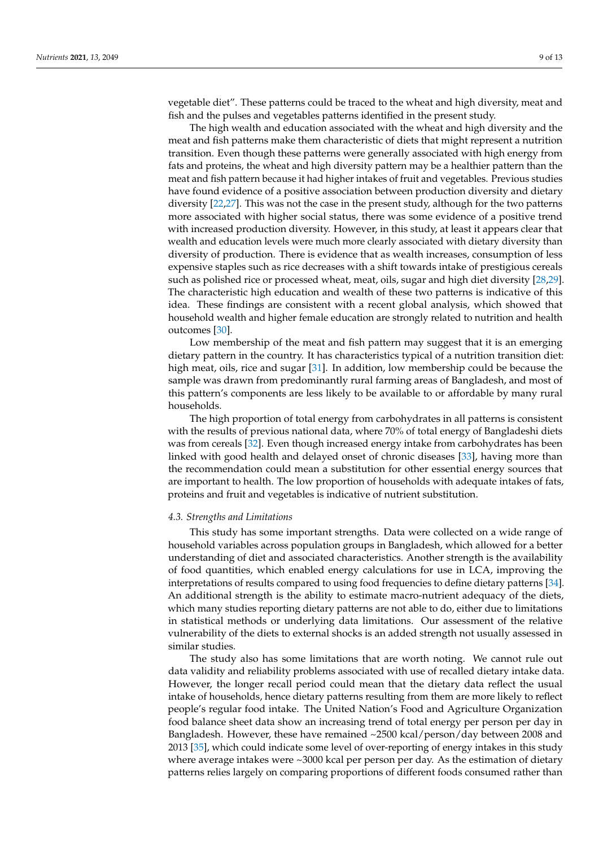vegetable diet". These patterns could be traced to the wheat and high diversity, meat and fish and the pulses and vegetables patterns identified in the present study.

The high wealth and education associated with the wheat and high diversity and the meat and fish patterns make them characteristic of diets that might represent a nutrition transition. Even though these patterns were generally associated with high energy from fats and proteins, the wheat and high diversity pattern may be a healthier pattern than the meat and fish pattern because it had higher intakes of fruit and vegetables. Previous studies have found evidence of a positive association between production diversity and dietary diversity [\[22,](#page-12-3)[27\]](#page-12-8). This was not the case in the present study, although for the two patterns more associated with higher social status, there was some evidence of a positive trend with increased production diversity. However, in this study, at least it appears clear that wealth and education levels were much more clearly associated with dietary diversity than diversity of production. There is evidence that as wealth increases, consumption of less expensive staples such as rice decreases with a shift towards intake of prestigious cereals such as polished rice or processed wheat, meat, oils, sugar and high diet diversity [\[28,](#page-12-9)[29\]](#page-12-10). The characteristic high education and wealth of these two patterns is indicative of this idea. These findings are consistent with a recent global analysis, which showed that household wealth and higher female education are strongly related to nutrition and health outcomes [\[30\]](#page-12-11).

Low membership of the meat and fish pattern may suggest that it is an emerging dietary pattern in the country. It has characteristics typical of a nutrition transition diet: high meat, oils, rice and sugar [\[31\]](#page-12-12). In addition, low membership could be because the sample was drawn from predominantly rural farming areas of Bangladesh, and most of this pattern's components are less likely to be available to or affordable by many rural households.

The high proportion of total energy from carbohydrates in all patterns is consistent with the results of previous national data, where 70% of total energy of Bangladeshi diets was from cereals [\[32\]](#page-12-13). Even though increased energy intake from carbohydrates has been linked with good health and delayed onset of chronic diseases [\[33\]](#page-12-14), having more than the recommendation could mean a substitution for other essential energy sources that are important to health. The low proportion of households with adequate intakes of fats, proteins and fruit and vegetables is indicative of nutrient substitution.

## *4.3. Strengths and Limitations*

This study has some important strengths. Data were collected on a wide range of household variables across population groups in Bangladesh, which allowed for a better understanding of diet and associated characteristics. Another strength is the availability of food quantities, which enabled energy calculations for use in LCA, improving the interpretations of results compared to using food frequencies to define dietary patterns [\[34\]](#page-12-15). An additional strength is the ability to estimate macro-nutrient adequacy of the diets, which many studies reporting dietary patterns are not able to do, either due to limitations in statistical methods or underlying data limitations. Our assessment of the relative vulnerability of the diets to external shocks is an added strength not usually assessed in similar studies.

The study also has some limitations that are worth noting. We cannot rule out data validity and reliability problems associated with use of recalled dietary intake data. However, the longer recall period could mean that the dietary data reflect the usual intake of households, hence dietary patterns resulting from them are more likely to reflect people's regular food intake. The United Nation's Food and Agriculture Organization food balance sheet data show an increasing trend of total energy per person per day in Bangladesh. However, these have remained ~2500 kcal/person/day between 2008 and 2013 [\[35\]](#page-12-16), which could indicate some level of over-reporting of energy intakes in this study where average intakes were ~3000 kcal per person per day. As the estimation of dietary patterns relies largely on comparing proportions of different foods consumed rather than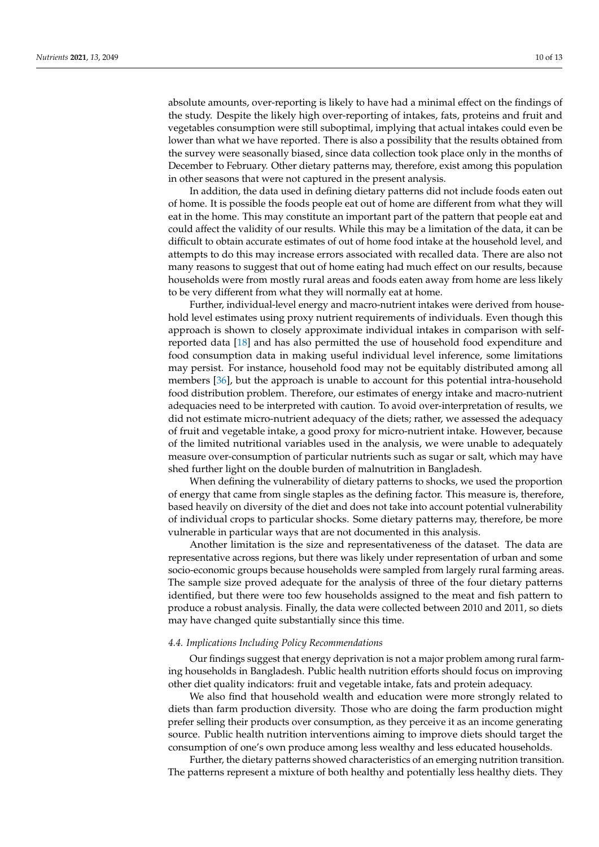absolute amounts, over-reporting is likely to have had a minimal effect on the findings of the study. Despite the likely high over-reporting of intakes, fats, proteins and fruit and vegetables consumption were still suboptimal, implying that actual intakes could even be lower than what we have reported. There is also a possibility that the results obtained from the survey were seasonally biased, since data collection took place only in the months of December to February. Other dietary patterns may, therefore, exist among this population in other seasons that were not captured in the present analysis.

In addition, the data used in defining dietary patterns did not include foods eaten out of home. It is possible the foods people eat out of home are different from what they will eat in the home. This may constitute an important part of the pattern that people eat and could affect the validity of our results. While this may be a limitation of the data, it can be difficult to obtain accurate estimates of out of home food intake at the household level, and attempts to do this may increase errors associated with recalled data. There are also not many reasons to suggest that out of home eating had much effect on our results, because households were from mostly rural areas and foods eaten away from home are less likely to be very different from what they will normally eat at home.

Further, individual-level energy and macro-nutrient intakes were derived from household level estimates using proxy nutrient requirements of individuals. Even though this approach is shown to closely approximate individual intakes in comparison with selfreported data [\[18\]](#page-11-17) and has also permitted the use of household food expenditure and food consumption data in making useful individual level inference, some limitations may persist. For instance, household food may not be equitably distributed among all members [\[36\]](#page-12-17), but the approach is unable to account for this potential intra-household food distribution problem. Therefore, our estimates of energy intake and macro-nutrient adequacies need to be interpreted with caution. To avoid over-interpretation of results, we did not estimate micro-nutrient adequacy of the diets; rather, we assessed the adequacy of fruit and vegetable intake, a good proxy for micro-nutrient intake. However, because of the limited nutritional variables used in the analysis, we were unable to adequately measure over-consumption of particular nutrients such as sugar or salt, which may have shed further light on the double burden of malnutrition in Bangladesh.

When defining the vulnerability of dietary patterns to shocks, we used the proportion of energy that came from single staples as the defining factor. This measure is, therefore, based heavily on diversity of the diet and does not take into account potential vulnerability of individual crops to particular shocks. Some dietary patterns may, therefore, be more vulnerable in particular ways that are not documented in this analysis.

Another limitation is the size and representativeness of the dataset. The data are representative across regions, but there was likely under representation of urban and some socio-economic groups because households were sampled from largely rural farming areas. The sample size proved adequate for the analysis of three of the four dietary patterns identified, but there were too few households assigned to the meat and fish pattern to produce a robust analysis. Finally, the data were collected between 2010 and 2011, so diets may have changed quite substantially since this time.

## *4.4. Implications Including Policy Recommendations*

Our findings suggest that energy deprivation is not a major problem among rural farming households in Bangladesh. Public health nutrition efforts should focus on improving other diet quality indicators: fruit and vegetable intake, fats and protein adequacy.

We also find that household wealth and education were more strongly related to diets than farm production diversity. Those who are doing the farm production might prefer selling their products over consumption, as they perceive it as an income generating source. Public health nutrition interventions aiming to improve diets should target the consumption of one's own produce among less wealthy and less educated households.

Further, the dietary patterns showed characteristics of an emerging nutrition transition. The patterns represent a mixture of both healthy and potentially less healthy diets. They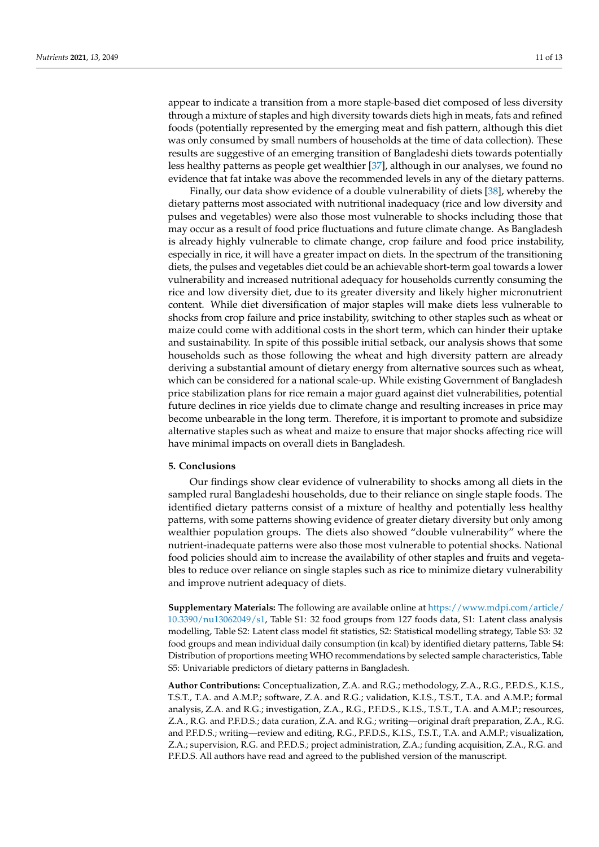appear to indicate a transition from a more staple-based diet composed of less diversity through a mixture of staples and high diversity towards diets high in meats, fats and refined foods (potentially represented by the emerging meat and fish pattern, although this diet was only consumed by small numbers of households at the time of data collection). These results are suggestive of an emerging transition of Bangladeshi diets towards potentially less healthy patterns as people get wealthier [\[37\]](#page-12-18), although in our analyses, we found no evidence that fat intake was above the recommended levels in any of the dietary patterns.

Finally, our data show evidence of a double vulnerability of diets [\[38\]](#page-12-19), whereby the dietary patterns most associated with nutritional inadequacy (rice and low diversity and pulses and vegetables) were also those most vulnerable to shocks including those that may occur as a result of food price fluctuations and future climate change. As Bangladesh is already highly vulnerable to climate change, crop failure and food price instability, especially in rice, it will have a greater impact on diets. In the spectrum of the transitioning diets, the pulses and vegetables diet could be an achievable short-term goal towards a lower vulnerability and increased nutritional adequacy for households currently consuming the rice and low diversity diet, due to its greater diversity and likely higher micronutrient content. While diet diversification of major staples will make diets less vulnerable to shocks from crop failure and price instability, switching to other staples such as wheat or maize could come with additional costs in the short term, which can hinder their uptake and sustainability. In spite of this possible initial setback, our analysis shows that some households such as those following the wheat and high diversity pattern are already deriving a substantial amount of dietary energy from alternative sources such as wheat, which can be considered for a national scale-up. While existing Government of Bangladesh price stabilization plans for rice remain a major guard against diet vulnerabilities, potential future declines in rice yields due to climate change and resulting increases in price may become unbearable in the long term. Therefore, it is important to promote and subsidize alternative staples such as wheat and maize to ensure that major shocks affecting rice will have minimal impacts on overall diets in Bangladesh.

## **5. Conclusions**

Our findings show clear evidence of vulnerability to shocks among all diets in the sampled rural Bangladeshi households, due to their reliance on single staple foods. The identified dietary patterns consist of a mixture of healthy and potentially less healthy patterns, with some patterns showing evidence of greater dietary diversity but only among wealthier population groups. The diets also showed "double vulnerability" where the nutrient-inadequate patterns were also those most vulnerable to potential shocks. National food policies should aim to increase the availability of other staples and fruits and vegetables to reduce over reliance on single staples such as rice to minimize dietary vulnerability and improve nutrient adequacy of diets.

**Supplementary Materials:** The following are available online at [https://www.mdpi.com/article/](https://www.mdpi.com/article/10.3390/nu13062049/s1) [10.3390/nu13062049/s1,](https://www.mdpi.com/article/10.3390/nu13062049/s1) Table S1: 32 food groups from 127 foods data, S1: Latent class analysis modelling, Table S2: Latent class model fit statistics, S2: Statistical modelling strategy, Table S3: 32 food groups and mean individual daily consumption (in kcal) by identified dietary patterns, Table S4: Distribution of proportions meeting WHO recommendations by selected sample characteristics, Table S5: Univariable predictors of dietary patterns in Bangladesh.

**Author Contributions:** Conceptualization, Z.A. and R.G.; methodology, Z.A., R.G., P.F.D.S., K.I.S., T.S.T., T.A. and A.M.P.; software, Z.A. and R.G.; validation, K.I.S., T.S.T., T.A. and A.M.P.; formal analysis, Z.A. and R.G.; investigation, Z.A., R.G., P.F.D.S., K.I.S., T.S.T., T.A. and A.M.P.; resources, Z.A., R.G. and P.F.D.S.; data curation, Z.A. and R.G.; writing—original draft preparation, Z.A., R.G. and P.F.D.S.; writing—review and editing, R.G., P.F.D.S., K.I.S., T.S.T., T.A. and A.M.P.; visualization, Z.A.; supervision, R.G. and P.F.D.S.; project administration, Z.A.; funding acquisition, Z.A., R.G. and P.F.D.S. All authors have read and agreed to the published version of the manuscript.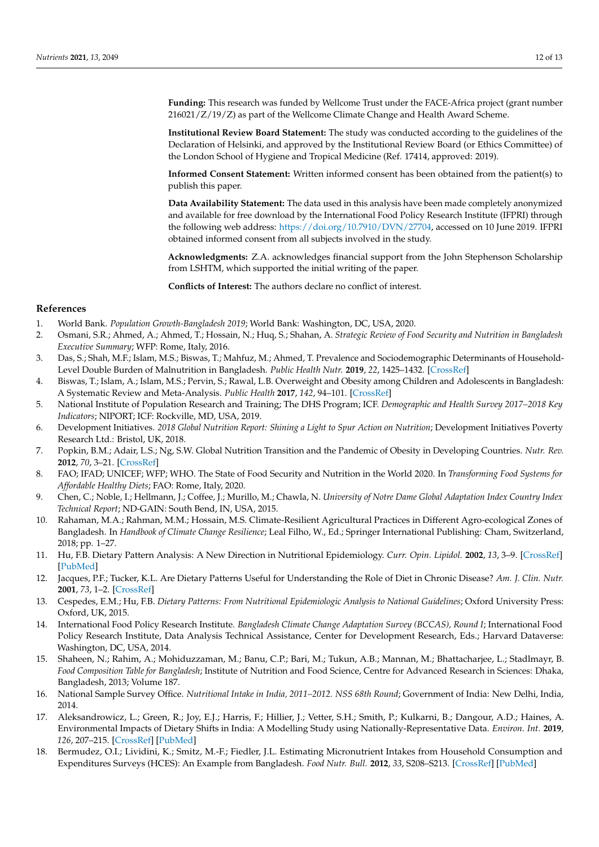**Funding:** This research was funded by Wellcome Trust under the FACE-Africa project (grant number 216021/Z/19/Z) as part of the Wellcome Climate Change and Health Award Scheme.

**Institutional Review Board Statement:** The study was conducted according to the guidelines of the Declaration of Helsinki, and approved by the Institutional Review Board (or Ethics Committee) of the London School of Hygiene and Tropical Medicine (Ref. 17414, approved: 2019).

**Informed Consent Statement:** Written informed consent has been obtained from the patient(s) to publish this paper.

**Data Availability Statement:** The data used in this analysis have been made completely anonymized and available for free download by the International Food Policy Research Institute (IFPRI) through the following web address: [https://doi.org/10.7910/DVN/27704,](https://doi.org/10.7910/DVN/27704) accessed on 10 June 2019. IFPRI obtained informed consent from all subjects involved in the study.

**Acknowledgments:** Z.A. acknowledges financial support from the John Stephenson Scholarship from LSHTM, which supported the initial writing of the paper.

**Conflicts of Interest:** The authors declare no conflict of interest.

## **References**

- <span id="page-11-0"></span>1. World Bank. *Population Growth-Bangladesh 2019*; World Bank: Washington, DC, USA, 2020.
- <span id="page-11-1"></span>2. Osmani, S.R.; Ahmed, A.; Ahmed, T.; Hossain, N.; Huq, S.; Shahan, A. *Strategic Review of Food Security and Nutrition in Bangladesh Executive Summary*; WFP: Rome, Italy, 2016.
- <span id="page-11-2"></span>3. Das, S.; Shah, M.F.; Islam, M.S.; Biswas, T.; Mahfuz, M.; Ahmed, T. Prevalence and Sociodemographic Determinants of Household-Level Double Burden of Malnutrition in Bangladesh. *Public Health Nutr.* **2019**, *22*, 1425–1432. [\[CrossRef\]](http://doi.org/10.1017/S1368980018003580)
- <span id="page-11-3"></span>4. Biswas, T.; Islam, A.; Islam, M.S.; Pervin, S.; Rawal, L.B. Overweight and Obesity among Children and Adolescents in Bangladesh: A Systematic Review and Meta-Analysis. *Public Health* **2017**, *142*, 94–101. [\[CrossRef\]](http://doi.org/10.1016/j.puhe.2016.10.010)
- <span id="page-11-4"></span>5. National Institute of Population Research and Training; The DHS Program; ICF. *Demographic and Health Survey 2017–2018 Key Indicators*; NIPORT; ICF: Rockville, MD, USA, 2019.
- <span id="page-11-5"></span>6. Development Initiatives. *2018 Global Nutrition Report: Shining a Light to Spur Action on Nutrition*; Development Initiatives Poverty Research Ltd.: Bristol, UK, 2018.
- <span id="page-11-6"></span>7. Popkin, B.M.; Adair, L.S.; Ng, S.W. Global Nutrition Transition and the Pandemic of Obesity in Developing Countries. *Nutr. Rev.* **2012**, *70*, 3–21. [\[CrossRef\]](http://doi.org/10.1111/j.1753-4887.2011.00456.x)
- <span id="page-11-7"></span>8. FAO; IFAD; UNICEF; WFP; WHO. The State of Food Security and Nutrition in the World 2020. In *Transforming Food Systems for Affordable Healthy Diets*; FAO: Rome, Italy, 2020.
- <span id="page-11-8"></span>9. Chen, C.; Noble, I.; Hellmann, J.; Coffee, J.; Murillo, M.; Chawla, N. *University of Notre Dame Global Adaptation Index Country Index Technical Report*; ND-GAIN: South Bend, IN, USA, 2015.
- <span id="page-11-9"></span>10. Rahaman, M.A.; Rahman, M.M.; Hossain, M.S. Climate-Resilient Agricultural Practices in Different Agro-ecological Zones of Bangladesh. In *Handbook of Climate Change Resilience*; Leal Filho, W., Ed.; Springer International Publishing: Cham, Switzerland, 2018; pp. 1–27.
- <span id="page-11-10"></span>11. Hu, F.B. Dietary Pattern Analysis: A New Direction in Nutritional Epidemiology. *Curr. Opin. Lipidol.* **2002**, *13*, 3–9. [\[CrossRef\]](http://doi.org/10.1097/00041433-200202000-00002) [\[PubMed\]](http://www.ncbi.nlm.nih.gov/pubmed/11790957)
- <span id="page-11-11"></span>12. Jacques, P.F.; Tucker, K.L. Are Dietary Patterns Useful for Understanding the Role of Diet in Chronic Disease? *Am. J. Clin. Nutr.* **2001**, *73*, 1–2. [\[CrossRef\]](http://doi.org/10.1093/ajcn/73.1.1)
- <span id="page-11-12"></span>13. Cespedes, E.M.; Hu, F.B. *Dietary Patterns: From Nutritional Epidemiologic Analysis to National Guidelines*; Oxford University Press: Oxford, UK, 2015.
- <span id="page-11-13"></span>14. International Food Policy Research Institute. *Bangladesh Climate Change Adaptation Survey (BCCAS), Round I*; International Food Policy Research Institute, Data Analysis Technical Assistance, Center for Development Research, Eds.; Harvard Dataverse: Washington, DC, USA, 2014.
- <span id="page-11-14"></span>15. Shaheen, N.; Rahim, A.; Mohiduzzaman, M.; Banu, C.P.; Bari, M.; Tukun, A.B.; Mannan, M.; Bhattacharjee, L.; Stadlmayr, B. *Food Composition Table for Bangladesh*; Institute of Nutrition and Food Science, Centre for Advanced Research in Sciences: Dhaka, Bangladesh, 2013; Volume 187.
- <span id="page-11-15"></span>16. National Sample Survey Office. *Nutritional Intake in India, 2011–2012. NSS 68th Round*; Government of India: New Delhi, India, 2014.
- <span id="page-11-16"></span>17. Aleksandrowicz, L.; Green, R.; Joy, E.J.; Harris, F.; Hillier, J.; Vetter, S.H.; Smith, P.; Kulkarni, B.; Dangour, A.D.; Haines, A. Environmental Impacts of Dietary Shifts in India: A Modelling Study using Nationally-Representative Data. *Environ. Int.* **2019**, *126*, 207–215. [\[CrossRef\]](http://doi.org/10.1016/j.envint.2019.02.004) [\[PubMed\]](http://www.ncbi.nlm.nih.gov/pubmed/30802638)
- <span id="page-11-17"></span>18. Bermudez, O.I.; Lividini, K.; Smitz, M.-F.; Fiedler, J.L. Estimating Micronutrient Intakes from Household Consumption and Expenditures Surveys (HCES): An Example from Bangladesh. *Food Nutr. Bull.* **2012**, *33*, S208–S213. [\[CrossRef\]](http://doi.org/10.1177/15648265120333S209) [\[PubMed\]](http://www.ncbi.nlm.nih.gov/pubmed/23193772)